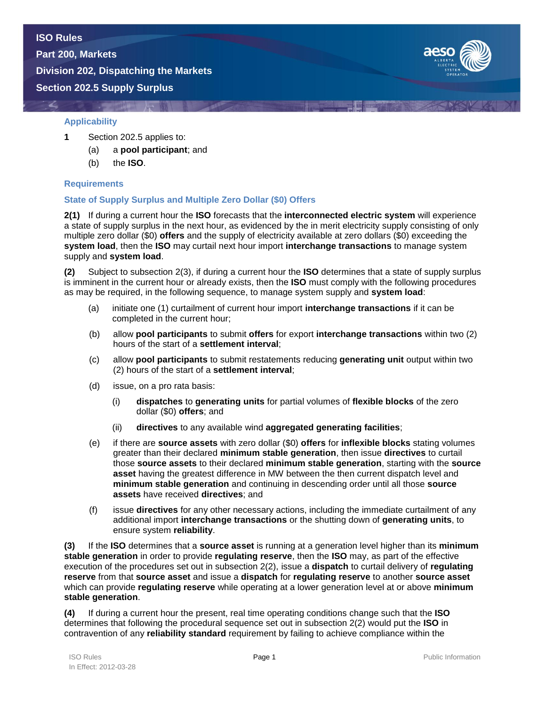**Part 200, Markets**

**Division 202, Dispatching the Markets Section 202.5 Supply Surplus**



# **Applicability**

- **1** Section 202.5 applies to:
	- (a) a **pool participant**; and
	- (b) the **ISO**.

### **Requirements**

# **State of Supply Surplus and Multiple Zero Dollar (\$0) Offers**

**2(1)** If during a current hour the **ISO** forecasts that the **interconnected electric system** will experience a state of supply surplus in the next hour, as evidenced by the in merit electricity supply consisting of only multiple zero dollar (\$0) **offers** and the supply of electricity available at zero dollars (\$0) exceeding the **system load**, then the **ISO** may curtail next hour import **interchange transactions** to manage system supply and **system load**.

**(2)** Subject to subsection 2(3), if during a current hour the **ISO** determines that a state of supply surplus is imminent in the current hour or already exists, then the **ISO** must comply with the following procedures as may be required, in the following sequence, to manage system supply and **system load**:

- (a) initiate one (1) curtailment of current hour import **interchange transactions** if it can be completed in the current hour;
- (b) allow **pool participants** to submit **offers** for export **interchange transactions** within two (2) hours of the start of a **settlement interval**;
- (c) allow **pool participants** to submit restatements reducing **generating unit** output within two (2) hours of the start of a **settlement interval**;
- (d) issue, on a pro rata basis:
	- (i) **dispatches** to **generating units** for partial volumes of **flexible blocks** of the zero dollar (\$0) **offers**; and
	- (ii) **directives** to any available wind **aggregated generating facilities**;
- (e) if there are **source assets** with zero dollar (\$0) **offers** for **inflexible blocks** stating volumes greater than their declared **minimum stable generation**, then issue **directives** to curtail those **source assets** to their declared **minimum stable generation**, starting with the **source asset** having the greatest difference in MW between the then current dispatch level and **minimum stable generation** and continuing in descending order until all those **source assets** have received **directives**; and
- (f) issue **directives** for any other necessary actions, including the immediate curtailment of any additional import **interchange transactions** or the shutting down of **generating units**, to ensure system **reliability**.

**(3)** If the **ISO** determines that a **source asset** is running at a generation level higher than its **minimum stable generation** in order to provide **regulating reserve**, then the **ISO** may, as part of the effective execution of the procedures set out in subsection 2(2), issue a **dispatch** to curtail delivery of **regulating reserve** from that **source asset** and issue a **dispatch** for **regulating reserve** to another **source asset**  which can provide **regulating reserve** while operating at a lower generation level at or above **minimum stable generation**.

**(4)** If during a current hour the present, real time operating conditions change such that the **ISO** determines that following the procedural sequence set out in subsection 2(2) would put the **ISO** in contravention of any **reliability standard** requirement by failing to achieve compliance within the